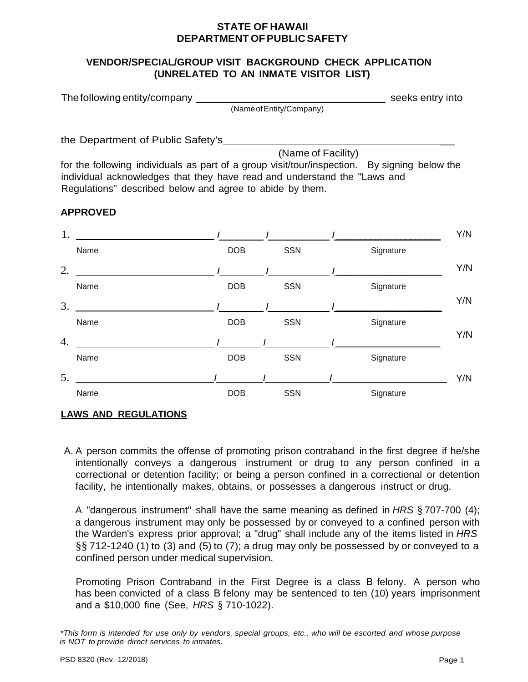#### **STATE OF HAWAII DEPARTMENT OF PUBLIC SAFETY**

### **VENDOR/SPECIAL/GROUP VISIT BACKGROUND CHECK APPLICATION (UNRELATED TO AN INMATE VISITOR LIST)**

| The following entity/company |                          | seeks entry into |
|------------------------------|--------------------------|------------------|
|                              | (Name of Entity/Company) |                  |

the Department of Public Safety's \_

(Name of Facility)

for the following individuals as part of a group visit/tour/inspection. By signing below the individual acknowledges that they have read and understand the "Laws and Regulations" described below and agree to abide by them.

# **APPROVED**



# **LAWS AND REGULATIONS**

A. A person commits the offense of promoting prison contraband in the first degree if he/she intentionally conveys a dangerous instrument or drug to any person confined in a correctional or detention facility; or being a person confined in a correctional or detention facility, he intentionally makes, obtains, or possesses a dangerous instruct or drug.

A "dangerous instrument" shall have the same meaning as defined in *HRS* § 707-700 (4); a dangerous instrument may only be possessed by or conveyed to a confined person with the Warden's express prior approval; a "drug" shall include any of the items listed in *HRS*  $\S$ § 712-1240 (1) to (3) and (5) to (7); a drug may only be possessed by or conveyed to a confined person under medical supervision.

Promoting Prison Contraband in the First Degree is a class B felony. A person who has been convicted of a class B felony may be sentenced to ten (10) years imprisonment and a \$10,000 fine (See, *HRS* § 710-1022).

<sup>\*</sup>This form is intended for use only by vendors, special groups, etc., who will be escorted and whose purpose *is NOT to provide direct services to inmates.*